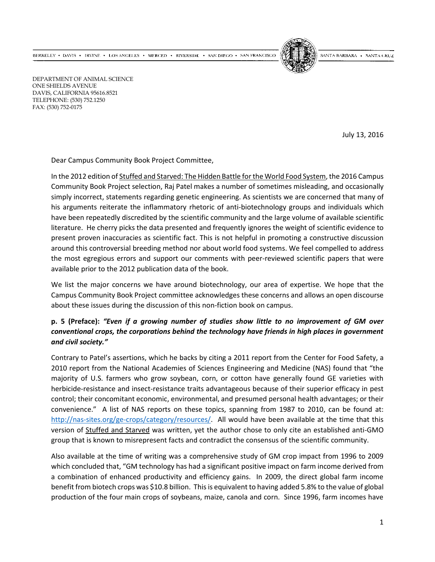BERKELEY • DAVIS • IRVINE • LOS ANGELES • MERCED • RIVERSIDE • SAN DIEGO • SAN FRANCISCO



SANTA BARBARA - SANTA CRUZ

DEPARTMENT OF ANIMAL SCIENCE ONE SHIELDS AVENUE DAVIS, CALIFORNIA 95616.8521 TELEPHONE: (530) 752.1250 FAX: (530) 752-0175

July 13, 2016

Dear Campus Community Book Project Committee,

In the 2012 edition of Stuffed and Starved: The Hidden Battle for the World Food System, the 2016 Campus Community Book Project selection, Raj Patel makes a number of sometimes misleading, and occasionally simply incorrect, statements regarding genetic engineering. As scientists we are concerned that many of his arguments reiterate the inflammatory rhetoric of anti-biotechnology groups and individuals which have been repeatedly discredited by the scientific community and the large volume of available scientific literature. He cherry picks the data presented and frequently ignores the weight of scientific evidence to present proven inaccuracies as scientific fact. This is not helpful in promoting a constructive discussion around this controversial breeding method nor about world food systems. We feel compelled to address the most egregious errors and support our comments with peer-reviewed scientific papers that were available prior to the 2012 publication data of the book.

We list the major concerns we have around biotechnology, our area of expertise. We hope that the Campus Community Book Project committee acknowledges these concerns and allows an open discourse about these issues during the discussion of this non-fiction book on campus.

#### **p. 5 (Preface):** *"Even if a growing number of studies show little to no improvement of GM over conventional crops, the corporations behind the technology have friends in high places in government and civil society."*

Contrary to Patel's assertions, which he backs by citing a 2011 report from the Center for Food Safety, a 2010 report from the National Academies of Sciences Engineering and Medicine (NAS) found that "the majority of U.S. farmers who grow soybean, corn, or cotton have generally found GE varieties with herbicide-resistance and insect-resistance traits advantageous because of their superior efficacy in pest control; their concomitant economic, environmental, and presumed personal health advantages; or their convenience." A list of NAS reports on these topics, spanning from 1987 to 2010, can be found at: [http://nas-sites.org/ge-crops/category/resources/.](http://nas-sites.org/ge-crops/category/resources/) All would have been available at the time that this version of Stuffed and Starved was written, yet the author chose to only cite an established anti-GMO group that is known to misrepresent facts and contradict the consensus of the scientific community.

Also available at the time of writing was a comprehensive study of GM crop impact from 1996 to 2009 which concluded that, "GM technology has had a significant positive impact on farm income derived from a combination of enhanced productivity and efficiency gains. In 2009, the direct global farm income benefit from biotech crops was \$10.8 billion. This is equivalent to having added 5.8% to the value of global production of the four main crops of soybeans, maize, canola and corn. Since 1996, farm incomes have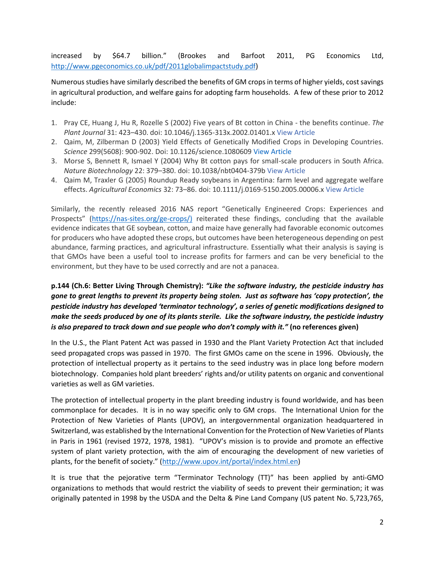increased by \$64.7 billion." (Brookes and Barfoot 2011, PG Economics Ltd, [http://www.pgeconomics.co.uk/pdf/2011globalimpactstudy.pdf\)](http://www.pgeconomics.co.uk/pdf/2011globalimpactstudy.pdf)

Numerous studies have similarly described the benefits of GM crops in terms of higher yields, cost savings in agricultural production, and welfare gains for adopting farm households. A few of these prior to 2012 include:

- 1. Pray CE, Huang J, Hu R, Rozelle S (2002) Five years of Bt cotton in China the benefits continue. *The Plant Journal* 31: 423–430. doi: 10.1046/j.1365-313x.2002.01401.x [View Article](http://dx.doi.org/10.1046/j.1365-313x.2002.01401.x)
- 2. Qaim, M, Zilberman D (2003) Yield Effects of Genetically Modified Crops in Developing Countries. *Science* 299(5608): 900-902. Doi: 10.1126/science.108060[9 View Article](http://science.sciencemag.org/content/299/5608/900.full)
- 3. Morse S, Bennett R, Ismael Y (2004) Why Bt cotton pays for small-scale producers in South Africa. *Nature Biotechnology* 22: 379–380. doi: 10.1038/nbt0404-379b [View Article](http://dx.doi.org/10.1038/nbt0404-379b)
- 4. Qaim M, Traxler G (2005) Roundup Ready soybeans in Argentina: farm level and aggregate welfare effects. *Agricultural Economics* 32: 73–86. doi: 10.1111/j.0169-5150.2005.00006.x [View Article](http://dx.doi.org/10.1111/j.0169-5150.2005.00006.x)

Similarly, the recently released 2016 NAS report "Genetically Engineered Crops: Experiences and Prospects" [\(https://nas-sites.org/ge-crops/\)](https://nas-sites.org/ge-crops/) reiterated these findings, concluding that the available evidence indicates that GE soybean, cotton, and maize have generally had favorable economic outcomes for producers who have adopted these crops, but outcomes have been heterogeneous depending on pest abundance, farming practices, and agricultural infrastructure. Essentially what their analysis is saying is that GMOs have been a useful tool to increase profits for farmers and can be very beneficial to the environment, but they have to be used correctly and are not a panacea.

# **p.144 (Ch.6: Better Living Through Chemistry):** *"Like the software industry, the pesticide industry has gone to great lengths to prevent its property being stolen. Just as software has 'copy protection', the pesticide industry has developed 'terminator technology', a series of genetic modifications designed to make the seeds produced by one of its plants sterile. Like the software industry, the pesticide industry is also prepared to track down and sue people who don't comply with it."* **(no references given)**

In the U.S., the Plant Patent Act was passed in 1930 and the Plant Variety Protection Act that included seed propagated crops was passed in 1970. The first GMOs came on the scene in 1996. Obviously, the protection of intellectual property as it pertains to the seed industry was in place long before modern biotechnology. Companies hold plant breeders' rights and/or utility patents on organic and conventional varieties as well as GM varieties.

The protection of intellectual property in the plant breeding industry is found worldwide, and has been commonplace for decades. It is in no way specific only to GM crops. The International Union for the Protection of New Varieties of Plants (UPOV), an intergovernmental organization headquartered in Switzerland, was established by the International Convention for the Protection of New Varieties of Plants in Paris in 1961 (revised 1972, 1978, 1981). "UPOV's mission is to provide and promote an effective system of plant variety protection, with the aim of encouraging the development of new varieties of plants, for the benefit of society." ([http://www.upov.int/portal/index.html.en\)](http://www.upov.int/portal/index.html.en)

It is true that the pejorative term "Terminator Technology (TT)" has been applied by anti-GMO organizations to methods that would restrict the viability of seeds to prevent their germination; it was originally patented in 1998 by the USDA and the Delta & Pine Land Company (US patent No. 5,723,765,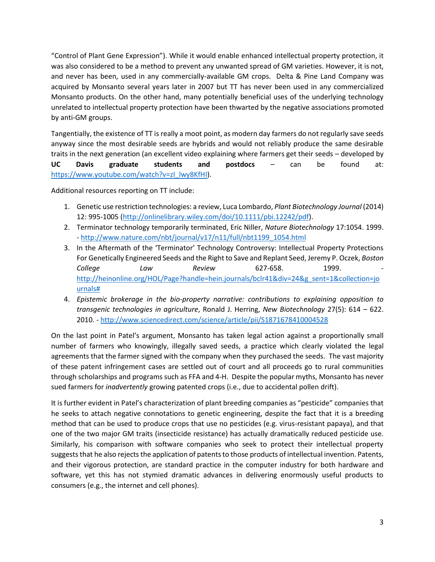"Control of Plant Gene Expression"). While it would enable enhanced intellectual property protection, it was also considered to be a method to prevent any unwanted spread of GM varieties. However, it is not, and never has been, used in any commercially-available GM crops. Delta & Pine Land Company was acquired by Monsanto several years later in 2007 but TT has never been used in any commercialized Monsanto products. On the other hand, many potentially beneficial uses of the underlying technology unrelated to intellectual property protection have been thwarted by the negative associations promoted by anti-GM groups.

Tangentially, the existence of TT is really a moot point, as modern day farmers do not regularly save seeds anyway since the most desirable seeds are hybrids and would not reliably produce the same desirable traits in the next generation (an excellent video explaining where farmers get their seeds – developed by **UC Davis graduate students and postdocs** – can be found at: [https://www.youtube.com/watch?v=zI\\_lwy8KfHI\)](https://www.youtube.com/watch?v=zI_lwy8KfHI).

Additional resources reporting on TT include:

- 1. Genetic use restriction technologies: a review, Luca Lombardo, *Plant Biotechnology Journal* (2014) 12: 995-1005 [\(http://onlinelibrary.wiley.com/doi/10.1111/pbi.12242/pdf\)](http://onlinelibrary.wiley.com/doi/10.1111/pbi.12242/pdf).
- 2. Terminator technology temporarily terminated, Eric Niller, *Nature Biotechnology* 17:1054. 1999. - [http://www.nature.com/nbt/journal/v17/n11/full/nbt1199\\_1054.html](http://www.nature.com/nbt/journal/v17/n11/full/nbt1199_1054.html)
- 3. In the Aftermath of the 'Terminator' Technology Controversy: Intellectual Property Protections For Genetically Engineered Seeds and the Right to Save and Replant Seed, Jeremy P. Oczek, *Boston College Law Review* 627-658. 1999. [http://heinonline.org/HOL/Page?handle=hein.journals/bclr41&div=24&g\\_sent=1&collection=jo](http://heinonline.org/HOL/Page?handle=hein.journals/bclr41&div=24&g_sent=1&collection=journals) [urnals#](http://heinonline.org/HOL/Page?handle=hein.journals/bclr41&div=24&g_sent=1&collection=journals)
- 4. *Epistemic brokerage in the bio-property narrative: contributions to explaining opposition to transgenic technologies in agriculture*, Ronald J. Herring, *New Biotechnology* 27(5): 614 – 622. 2010. - <http://www.sciencedirect.com/science/article/pii/S1871678410004528>

On the last point in Patel's argument, Monsanto has taken legal action against a proportionally small number of farmers who knowingly, illegally saved seeds, a practice which clearly violated the legal agreements that the farmer signed with the company when they purchased the seeds. The vast majority of these patent infringement cases are settled out of court and all proceeds go to rural communities through scholarships and programs such as FFA and 4-H. Despite the popular myths, Monsanto has never sued farmers for *inadvertently* growing patented crops (i.e., due to accidental pollen drift).

It is further evident in Patel's characterization of plant breeding companies as "pesticide" companies that he seeks to attach negative connotations to genetic engineering, despite the fact that it is a breeding method that can be used to produce crops that use no pesticides (e.g. virus-resistant papaya), and that one of the two major GM traits (insecticide resistance) has actually dramatically reduced pesticide use. Similarly, his comparison with software companies who seek to protect their intellectual property suggests that he also rejects the application of patents to those products of intellectual invention. Patents, and their vigorous protection, are standard practice in the computer industry for both hardware and software, yet this has not stymied dramatic advances in delivering enormously useful products to consumers (e.g., the internet and cell phones).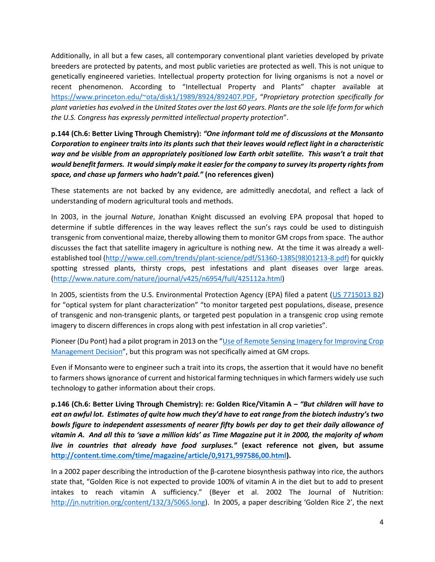Additionally, in all but a few cases, all contemporary conventional plant varieties developed by private breeders are protected by patents, and most public varieties are protected as well. This is not unique to genetically engineered varieties. Intellectual property protection for living organisms is not a novel or recent phenomenon. According to "Intellectual Property and Plants" chapter available at <https://www.princeton.edu/~ota/disk1/1989/8924/892407.PDF>, "*Proprietary protection specifically for plant varieties has evolved in the United States over the last 60 years. Plants are the sole life form for which the U.S. Congress has expressly permitted intellectual property protection*".

## **p.144 (Ch.6: Better Living Through Chemistry):** *"One informant told me of discussions at the Monsanto Corporation to engineer traits into its plants such that their leaves would reflect light in a characteristic way and be visible from an appropriately positioned low Earth orbit satellite. This wasn't a trait that would benefit farmers. It would simply make it easier for the company to survey its property rights from space, and chase up farmers who hadn't paid."* **(no references given)**

These statements are not backed by any evidence, are admittedly anecdotal, and reflect a lack of understanding of modern agricultural tools and methods.

In 2003, in the journal *Nature*, Jonathan Knight discussed an evolving EPA proposal that hoped to determine if subtle differences in the way leaves reflect the sun's rays could be used to distinguish transgenic from conventional maize, thereby allowing them to monitor GM crops from space. The author discusses the fact that satellite imagery in agriculture is nothing new. At the time it was already a wellestablished tool [\(http://www.cell.com/trends/plant-science/pdf/S1360-1385\(98\)01213-8.pdf\)](http://www.cell.com/trends/plant-science/pdf/S1360-1385(98)01213-8.pdf)) for quickly spotting stressed plants, thirsty crops, pest infestations and plant diseases over large areas. [\(http://www.nature.com/nature/journal/v425/n6954/full/425112a.html\)](http://www.nature.com/nature/journal/v425/n6954/full/425112a.html)

In 2005, scientists from the U.S. Environmental Protection Agency (EPA) filed a patent [\(US 7715013 B2\)](http://www.google.com/patents/US7715013) for "optical system for plant characterization" "to monitor targeted pest populations, disease, presence of transgenic and non-transgenic plants, or targeted pest population in a transgenic crop using remote imagery to discern differences in crops along with pest infestation in all crop varieties".

Pioneer (Du Pont) had a pilot program in 2013 on the "[Use of Remote Sensing Imagery for Improving Crop](https://www.pioneer.com/home/site/us/agronomy/library/remote-sensing-imagery/)  [Management Decision](https://www.pioneer.com/home/site/us/agronomy/library/remote-sensing-imagery/)", but this program was not specifically aimed at GM crops.

Even if Monsanto were to engineer such a trait into its crops, the assertion that it would have no benefit to farmers shows ignorance of current and historical farming techniques in which farmers widely use such technology to gather information about their crops.

**p.146 (Ch.6: Better Living Through Chemistry): re: Golden Rice/Vitamin A –** *"But children will have to eat an awful lot. Estimates of quite how much they'd have to eat range from the biotech industry's two bowls figure to independent assessments of nearer fifty bowls per day to get their daily allowance of vitamin A. And all this to 'save a million kids' as Time Magazine put it in 2000, the majority of whom live in countries that already have food surpluses."* **(exact reference not given, but assume [http://content.time.com/time/magazine/article/0,9171,997586,00.html\)](http://content.time.com/time/magazine/article/0,9171,997586,00.html).**

In a 2002 paper describing the introduction of the β-carotene biosynthesis pathway into rice, the authors state that, "Golden Rice is not expected to provide 100% of vitamin A in the diet but to add to present intakes to reach vitamin A sufficiency." (Beyer et al. 2002 The Journal of Nutrition: [http://jn.nutrition.org/content/132/3/506S.long\)](http://jn.nutrition.org/content/132/3/506S.long). In 2005, a paper describing 'Golden Rice 2', the next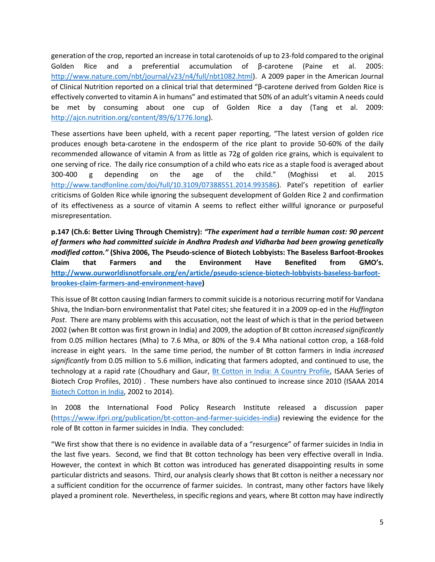generation of the crop, reported an increase in total carotenoids of up to 23-fold compared to the original Golden Rice and a preferential accumulation of β-carotene (Paine et al. 2005: [http://www.nature.com/nbt/journal/v23/n4/full/nbt1082.html\)](http://www.nature.com/nbt/journal/v23/n4/full/nbt1082.html). A 2009 paper in the American Journal of Clinical Nutrition reported on a clinical trial that determined "β-carotene derived from Golden Rice is effectively converted to vitamin A in humans" and estimated that 50% of an adult's vitamin A needs could be met by consuming about one cup of Golden Rice a day (Tang et al. 2009: [http://ajcn.nutrition.org/content/89/6/1776.long\)](http://ajcn.nutrition.org/content/89/6/1776.long).

These assertions have been upheld, with a recent paper reporting, "The latest version of golden rice produces enough beta-carotene in the endosperm of the rice plant to provide 50-60% of the daily recommended allowance of vitamin A from as little as 72g of golden rice grains, which is equivalent to one serving of rice. The daily rice consumption of a child who eats rice as a staple food is averaged about 300-400 g depending on the age of the child." (Moghissi et al. 2015 [http://www.tandfonline.com/doi/full/10.3109/07388551.2014.993586\)](http://www.tandfonline.com/doi/full/10.3109/07388551.2014.993586). Patel's repetition of earlier criticisms of Golden Rice while ignoring the subsequent development of Golden Rice 2 and confirmation of its effectiveness as a source of vitamin A seems to reflect either willful ignorance or purposeful misrepresentation.

**p.147 (Ch.6: Better Living Through Chemistry):** *"The experiment had a terrible human cost: 90 percent of farmers who had committed suicide in Andhra Pradesh and Vidharba had been growing genetically modified cotton."* **(Shiva 2006, The Pseudo-science of Biotech Lobbyists: The Baseless Barfoot-Brookes Claim that Farmers and the Environment Have Benefited from GMO's. [http://www.ourworldisnotforsale.org/en/article/pseudo-science-biotech-lobbyists-baseless-barfoot](http://www.ourworldisnotforsale.org/en/article/pseudo-science-biotech-lobbyists-baseless-barfoot-brookes-claim-farmers-and-environment-have)[brookes-claim-farmers-and-environment-have\)](http://www.ourworldisnotforsale.org/en/article/pseudo-science-biotech-lobbyists-baseless-barfoot-brookes-claim-farmers-and-environment-have)**

This issue of Bt cotton causing Indian farmers to commit suicide is a notorious recurring motif for Vandana Shiva, the Indian-born environmentalist that Patel cites; she featured it in a 2009 op-ed in the *Huffington Post*. There are many problems with this accusation, not the least of which is that in the period between 2002 (when Bt cotton was first grown in India) and 2009, the adoption of Bt cotton *increased significantly* from 0.05 million hectares (Mha) to 7.6 Mha, or 80% of the 9.4 Mha national cotton crop, a 168-fold increase in eight years. In the same time period, the number of Bt cotton farmers in India *increased significantly* from 0.05 million to 5.6 million, indicating that farmers adopted, and continued to use, the technology at a rapid rate (Choudhary and Gaur, [Bt Cotton in India: A Country Profile,](http://isaaa.org/resources/publications/biotech_crop_profiles/bt_cotton_in_india-a_country_profile/download/Bt_Cotton_in_India-A_Country_Profile.pdf) ISAAA Series of Biotech Crop Profiles, 2010) . These numbers have also continued to increase since 2010 (ISAAA 2014 [Biotech Cotton in India,](https://www.isaaa.org/resources/publications/biotech_crop_profiles/bt_cotton_in_india-a_country_profile/download/Bt_Cotton_in_India-2002-2014.pdf) 2002 to 2014).

In 2008 the International Food Policy Research Institute released a discussion paper [\(https://www.ifpri.org/publication/bt-cotton-and-farmer-suicides-india\)](https://www.ifpri.org/publication/bt-cotton-and-farmer-suicides-india) reviewing the evidence for the role of Bt cotton in farmer suicides in India. They concluded:

"We first show that there is no evidence in available data of a "resurgence" of farmer suicides in India in the last five years. Second, we find that Bt cotton technology has been very effective overall in India. However, the context in which Bt cotton was introduced has generated disappointing results in some particular districts and seasons. Third, our analysis clearly shows that Bt cotton is neither a necessary nor a sufficient condition for the occurrence of farmer suicides. In contrast, many other factors have likely played a prominent role. Nevertheless, in specific regions and years, where Bt cotton may have indirectly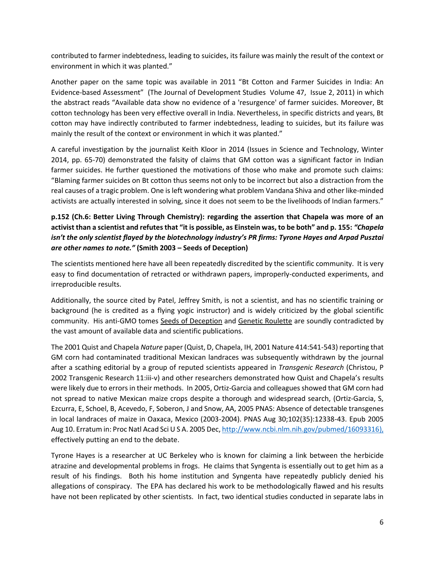contributed to farmer indebtedness, leading to suicides, its failure was mainly the result of the context or environment in which it was planted."

Another paper on the same topic was available in 2011 "Bt Cotton and Farmer Suicides in India: An Evidence-based Assessment" (The Journal of Development Studies Volume 47, Issue 2, 2011) in which the abstract reads "Available data show no evidence of a 'resurgence' of farmer suicides. Moreover, Bt cotton technology has been very effective overall in India. Nevertheless, in specific districts and years, Bt cotton may have indirectly contributed to farmer indebtedness, leading to suicides, but its failure was mainly the result of the context or environment in which it was planted."

A careful investigation by the journalist Keith Kloor in 2014 (Issues in Science and Technology, Winter 2014, pp. 65-70) demonstrated the falsity of claims that GM cotton was a significant factor in Indian farmer suicides. He further questioned the motivations of those who make and promote such claims: "Blaming farmer suicides on Bt cotton thus seems not only to be incorrect but also a distraction from the real causes of a tragic problem. One is left wondering what problem Vandana Shiva and other like-minded activists are actually interested in solving, since it does not seem to be the livelihoods of Indian farmers."

## **p.152 (Ch.6: Better Living Through Chemistry): regarding the assertion that Chapela was more of an activist than a scientist and refutes that "it is possible, as Einstein was, to be both" and p. 155:** *"Chapela isn't the only scientist flayed by the biotechnology industry's PR firms: Tyrone Hayes and Arpad Pusztai are other names to note."* **(Smith 2003 – Seeds of Deception)**

The scientists mentioned here have all been repeatedly discredited by the scientific community. It is very easy to find documentation of retracted or withdrawn papers, improperly-conducted experiments, and irreproducible results.

Additionally, the source cited by Patel, Jeffrey Smith, is not a scientist, and has no scientific training or background (he is credited as a flying yogic instructor) and is widely criticized by the global scientific community. His anti-GMO tomes Seeds of Deception and Genetic Roulette are soundly contradicted by the vast amount of available data and scientific publications.

The 2001 Quist and Chapela *Nature* paper (Quist, D, Chapela, IH, 2001 Nature 414:541-543) reporting that GM corn had contaminated traditional Mexican landraces was subsequently withdrawn by the journal after a scathing editorial by a group of reputed scientists appeared in *Transgenic Research* (Christou, P 2002 Transgenic Research 11:iii-v) and other researchers demonstrated how Quist and Chapela's results were likely due to errors in their methods. In 2005, Ortiz-Garcia and colleagues showed that GM corn had not spread to native Mexican maize crops despite a thorough and widespread search, (Ortiz-Garcia, S, Ezcurra, E, Schoel, B, Acevedo, F, Soberon, J and Snow, AA, 2005 PNAS: Absence of detectable transgenes in local landraces of maize in Oaxaca, Mexico (2003-2004). PNAS Aug 30;102(35):12338-43. Epub 2005 Aug 10. Erratum in: Proc Natl Acad Sci U S A. 2005 Dec[, http://www.ncbi.nlm.nih.gov/pubmed/16093316\)](http://www.ncbi.nlm.nih.gov/pubmed/16093316), effectively putting an end to the debate.

Tyrone Hayes is a researcher at UC Berkeley who is known for claiming a link between the herbicide atrazine and developmental problems in frogs. He claims that Syngenta is essentially out to get him as a result of his findings. Both his home institution and Syngenta have repeatedly publicly denied his allegations of conspiracy. The EPA has declared his work to be methodologically flawed and his results have not been replicated by other scientists. In fact, two identical studies conducted in separate labs in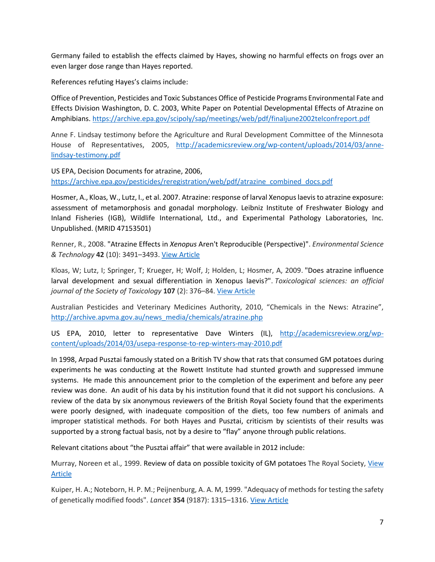Germany failed to establish the effects claimed by Hayes, showing no harmful effects on frogs over an even larger dose range than Hayes reported.

References refuting Hayes's claims include:

Office of Prevention, Pesticides and Toxic Substances Office of Pesticide Programs Environmental Fate and Effects Division Washington, D. C. 2003, White Paper on Potential Developmental Effects of Atrazine on Amphibians.<https://archive.epa.gov/scipoly/sap/meetings/web/pdf/finaljune2002telconfreport.pdf>

Anne F. Lindsay testimony before the Agriculture and Rural Development Committee of the Minnesota House of Representatives, 2005, [http://academicsreview.org/wp-content/uploads/2014/03/anne](http://academicsreview.org/wp-content/uploads/2014/03/anne-lindsay-testimony.pdf)[lindsay-testimony.pdf](http://academicsreview.org/wp-content/uploads/2014/03/anne-lindsay-testimony.pdf)

US EPA, Decision Documents for atrazine, 2006, [https://archive.epa.gov/pesticides/reregistration/web/pdf/atrazine\\_combined\\_docs.pdf](https://archive.epa.gov/pesticides/reregistration/web/pdf/atrazine_combined_docs.pdf)

Hosmer, A., Kloas, W., Lutz, I., et al. 2007. Atrazine: response of larval Xenopus laevis to atrazine exposure: assessment of metamorphosis and gonadal morphology. Leibniz Institute of Freshwater Biology and Inland Fisheries (IGB), Wildlife International, Ltd., and Experimental Pathology Laboratories, Inc. Unpublished. (MRID 47153501)

Renner, R., 2008. "Atrazine Effects in *Xenopus* Aren't Reproducible (Perspective)". *Environmental Science & Technology* **42** (10): 3491–3493[. View Article](http://pubs.acs.org/doi/abs/10.1021/es087113j)

Kloas, W; Lutz, I; Springer, T; Krueger, H; Wolf, J; Holden, L; Hosmer, A, 2009. "Does atrazine influence larval development and sexual differentiation in Xenopus laevis?". *Toxicological sciences: an official*  journal of the Society of Toxicology **107** (2): 376–84. [View Article](https://www.ncbi.nlm.nih.gov/pmc/articles/PMC2639758/)

Australian Pesticides and Veterinary Medicines Authority, 2010, "Chemicals in the News: Atrazine", [http://archive.apvma.gov.au/news\\_media/chemicals/atrazine.php](http://archive.apvma.gov.au/news_media/chemicals/atrazine.php)

US EPA, 2010, letter to representative Dave Winters (IL), [http://academicsreview.org/wp](http://academicsreview.org/wp-content/uploads/2014/03/usepa-response-to-rep-winters-may-2010.pdf)[content/uploads/2014/03/usepa-response-to-rep-winters-may-2010.pdf](http://academicsreview.org/wp-content/uploads/2014/03/usepa-response-to-rep-winters-may-2010.pdf)

In 1998, Arpad Pusztai famously stated on a British TV show that rats that consumed GM potatoes during experiments he was conducting at the Rowett Institute had stunted growth and suppressed immune systems. He made this announcement prior to the completion of the experiment and before any peer review was done. An audit of his data by his institution found that it did not support his conclusions. A review of the data by six anonymous reviewers of the British Royal Society found that the experiments were poorly designed, with inadequate composition of the diets, too few numbers of animals and improper statistical methods. For both Hayes and Pusztai, criticism by scientists of their results was supported by a strong factual basis, not by a desire to "flay" anyone through public relations.

Relevant citations about "the Pusztai affair" that were available in 2012 include:

Murray, Noreen et al., 1999. Review of data on possible toxicity of GM potatoes The Royal Society, [View](http://www.pages.drexel.edu/~ls39/peer_review/ewen.pdf)  [Article](http://www.pages.drexel.edu/~ls39/peer_review/ewen.pdf)

Kuiper, H. A.; Noteborn, H. P. M.; Peijnenburg, A. A. M, 1999. "Adequacy of methods for testing the safety of genetically modified foods". *Lancet* **354** (9187): 1315–1316. [View Article](http://www.sciencedirect.com/science/article/pii/S0140673699003414)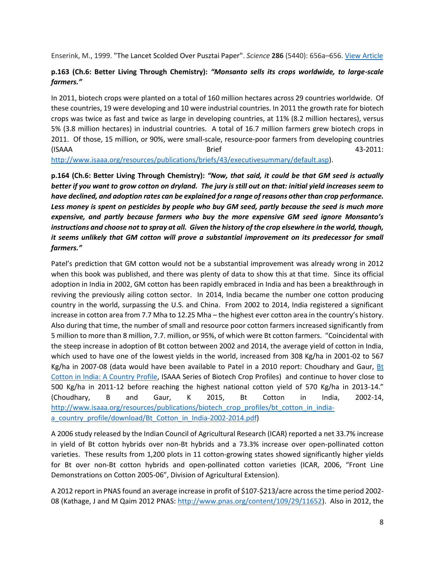Enserink, M., 1999. "The Lancet Scolded Over Pusztai Paper". *Science* **286** (5440): 656a–656[. View Article](http://science.sciencemag.org/content/286/5440/656.1)

#### **p.163 (Ch.6: Better Living Through Chemistry):** *"Monsanto sells its crops worldwide, to large-scale farmers."*

In 2011, biotech crops were planted on a total of 160 million hectares across 29 countries worldwide. Of these countries, 19 were developing and 10 were industrial countries. In 2011 the growth rate for biotech crops was twice as fast and twice as large in developing countries, at 11% (8.2 million hectares), versus 5% (3.8 million hectares) in industrial countries. A total of 16.7 million farmers grew biotech crops in 2011. Of those, 15 million, or 90%, were small-scale, resource-poor farmers from developing countries (ISAAA Brief 43-2011:

[http://www.isaaa.org/resources/publications/briefs/43/executivesummary/default.asp\)](http://www.isaaa.org/resources/publications/briefs/43/executivesummary/default.asp).

**p.164 (Ch.6: Better Living Through Chemistry):** *"Now, that said, it could be that GM seed is actually better if you want to grow cotton on dryland. The jury is still out on that: initial yield increases seem to have declined, and adoption rates can be explained for a range of reasons other than crop performance. Less money is spent on pesticides by people who buy GM seed, partly because the seed is much more expensive, and partly because farmers who buy the more expensive GM seed ignore Monsanto's instructions and choose not to spray at all. Given the history of the crop elsewhere in the world, though, it seems unlikely that GM cotton will prove a substantial improvement on its predecessor for small farmers."*

Patel's prediction that GM cotton would not be a substantial improvement was already wrong in 2012 when this book was published, and there was plenty of data to show this at that time. Since its official adoption in India in 2002, GM cotton has been rapidly embraced in India and has been a breakthrough in reviving the previously ailing cotton sector. In 2014, India became the number one cotton producing country in the world, surpassing the U.S. and China. From 2002 to 2014, India registered a significant increase in cotton area from 7.7 Mha to 12.25 Mha – the highest ever cotton area in the country's history. Also during that time, the number of small and resource poor cotton farmers increased significantly from 5 million to more than 8 million, 7.7. million, or 95%, of which were Bt cotton farmers. "Coincidental with the steep increase in adoption of Bt cotton between 2002 and 2014, the average yield of cotton in India, which used to have one of the lowest yields in the world, increased from 308 Kg/ha in 2001-02 to 567 Kg/ha in 2007-08 (data would have been available to Patel in a 2010 report: Choudhary and Gaur, [Bt](http://isaaa.org/resources/publications/biotech_crop_profiles/bt_cotton_in_india-a_country_profile/download/Bt_Cotton_in_India-A_Country_Profile.pdf)  [Cotton in India: A Country Profile,](http://isaaa.org/resources/publications/biotech_crop_profiles/bt_cotton_in_india-a_country_profile/download/Bt_Cotton_in_India-A_Country_Profile.pdf) ISAAA Series of Biotech Crop Profiles) and continue to hover close to 500 Kg/ha in 2011-12 before reaching the highest national cotton yield of 570 Kg/ha in 2013-14." (Choudhary, B and Gaur, K 2015, Bt Cotton in India, 2002-14, [http://www.isaaa.org/resources/publications/biotech\\_crop\\_profiles/bt\\_cotton\\_in\\_india](http://www.isaaa.org/resources/publications/biotech_crop_profiles/bt_cotton_in_india-a_country_profile/download/Bt_Cotton_in_India-2002-2014.pdf)[a\\_country\\_profile/download/Bt\\_Cotton\\_in\\_India-2002-2014.pdf\)](http://www.isaaa.org/resources/publications/biotech_crop_profiles/bt_cotton_in_india-a_country_profile/download/Bt_Cotton_in_India-2002-2014.pdf)

A 2006 study released by the Indian Council of Agricultural Research (ICAR) reported a net 33.7% increase in yield of Bt cotton hybrids over non-Bt hybrids and a 73.3% increase over open-pollinated cotton varieties. These results from 1,200 plots in 11 cotton-growing states showed significantly higher yields for Bt over non-Bt cotton hybrids and open-pollinated cotton varieties (ICAR, 2006, "Front Line Demonstrations on Cotton 2005-06", Division of Agricultural Extension).

A 2012 report in PNAS found an average increase in profit of \$107-\$213/acre across the time period 2002- 08 (Kathage, J and M Qaim 2012 PNAS: [http://www.pnas.org/content/109/29/11652\)](http://www.pnas.org/content/109/29/11652). Also in 2012, the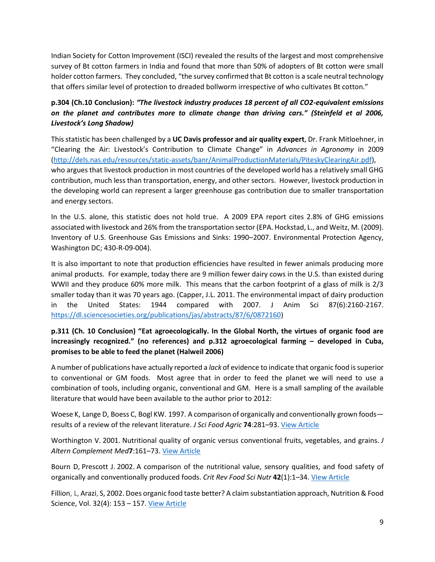Indian Society for Cotton Improvement (ISCI) revealed the results of the largest and most comprehensive survey of Bt cotton farmers in India and found that more than 50% of adopters of Bt cotton were small holder cotton farmers. They concluded, "the survey confirmed that Bt cotton is a scale neutral technology that offers similar level of protection to dreaded bollworm irrespective of who cultivates Bt cotton."

## **p.304 (Ch.10 Conclusion):** *"The livestock industry produces 18 percent of all CO2-equivalent emissions on the planet and contributes more to climate change than driving cars." (Steinfeld et al 2006, Livestock's Long Shadow)*

This statistic has been challenged by a **UC Davis professor and air quality expert**, Dr. Frank Mitloehner, in "Clearing the Air: Livestock's Contribution to Climate Change" in *Advances in Agronomy* in 2009 [\(http://dels.nas.edu/resources/static-assets/banr/AnimalProductionMaterials/PiteskyClearingAir.pdf\)](http://dels.nas.edu/resources/static-assets/banr/AnimalProductionMaterials/PiteskyClearingAir.pdf), who argues that livestock production in most countries of the developed world has a relatively small GHG contribution, much less than transportation, energy, and other sectors. However, livestock production in the developing world can represent a larger greenhouse gas contribution due to smaller transportation and energy sectors.

In the U.S. alone, this statistic does not hold true. A 2009 EPA report cites 2.8% of GHG emissions associated with livestock and 26% from the transportation sector (EPA. Hockstad, L., and Weitz, M. (2009). Inventory of U.S. Greenhouse Gas Emissions and Sinks: 1990–2007. Environmental Protection Agency, Washington DC; 430-R-09-004).

It is also important to note that production efficiencies have resulted in fewer animals producing more animal products. For example, today there are 9 million fewer dairy cows in the U.S. than existed during WWII and they produce 60% more milk. This means that the carbon footprint of a glass of milk is 2/3 smaller today than it was 70 years ago. (Capper, J.L. 2011. The environmental impact of dairy production in the United States: 1944 compared with 2007. J Anim Sci 87(6):2160-2167. [https://dl.sciencesocieties.org/publications/jas/abstracts/87/6/0872160\)](https://dl.sciencesocieties.org/publications/jas/abstracts/87/6/0872160)

## **p.311 (Ch. 10 Conclusion) "Eat agroecologically. In the Global North, the virtues of organic food are increasingly recognized." (no references) and p.312 agroecological farming – developed in Cuba, promises to be able to feed the planet (Halweil 2006)**

A number of publications have actually reported a *lack* of evidence to indicate that organic food is superior to conventional or GM foods. Most agree that in order to feed the planet we will need to use a combination of tools, including organic, conventional and GM. Here is a small sampling of the available literature that would have been available to the author prior to 2012:

Woese K, Lange D, Boess C, Bogl KW. 1997. A comparison of organically and conventionally grown foods results of a review of the relevant literature. *J Sci Food Agric* **74**:281–93[. View Article](http://onlinelibrary.wiley.com/doi/10.1002/(SICI)1097-0010(199707)74:3%3C281::AID-JSFA794%3E3.0.CO;2-Z/abstract)

Worthington V. 2001. Nutritional quality of organic versus conventional fruits, vegetables, and grains. *J Altern Complement Med***7**:161–73[. View Article](http://www.ncbi.nlm.nih.gov/pubmed/11327522)

Bourn D, Prescott J. 2002. A comparison of the nutritional value, sensory qualities, and food safety of organically and conventionally produced foods. *Crit Rev Food Sci Nutr* **42**(1):1–34. [View Article](http://www.ncbi.nlm.nih.gov/pubmed/11833635)

Fillion, L, Arazi, S, 2002. Does organic food taste better? A claim substantiation approach, Nutrition & Food Science, Vol. 32(4): 153 – 157[. View Article](http://www.emeraldinsight.com/doi/full/10.1108/00346650210436262)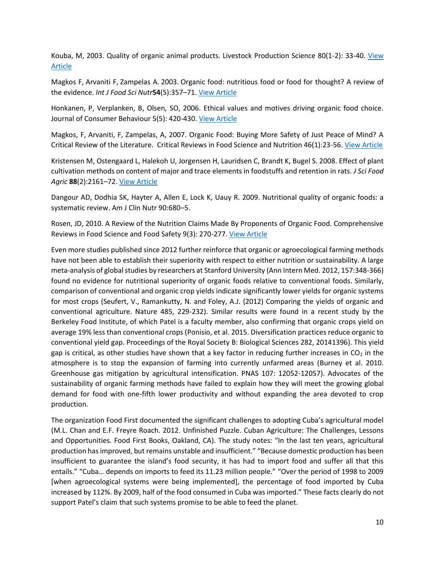Kouba, M, 2003. Quality of organic animal products. Livestock Production Science 80(1-2): 33-40. [View](http://www.sciencedirect.com/science/article/pii/S0301622602003184)  [Article](http://www.sciencedirect.com/science/article/pii/S0301622602003184)

Magkos F, Arvaniti F, Zampelas A. 2003. Organic food: nutritious food or food for thought? A review of the evidence. *Int J Food Sci Nutr***54**(5):357–71[. View Article](http://www.ncbi.nlm.nih.gov/pubmed/12907407)

Honkanen, P, Verplanken, B, Olsen, SO, 2006. Ethical values and motives driving organic food choice. Journal of Consumer Behaviour 5(5): 420-430. [View Article](http://onlinelibrary.wiley.com/doi/10.1002/cb.190/abstract;jsessionid=1B279808B2E869F603B117DADBEC5727.f02t01)

Magkos, F, Arvaniti, F, Zampelas, A, 2007. Organic Food: Buying More Safety of Just Peace of Mind? A Critical Review of the Literature. Critical Reviews in Food Science and Nutrition 46(1):23-56. [View Article](http://www.tandfonline.com/doi/full/10.1080/10408690490911846)

Kristensen M, Ostengaard L, Halekoh U, Jorgensen H, Lauridsen C, Brandt K, Bugel S. 2008. Effect of plant cultivation methods on content of major and trace elements in foodstuffs and retention in rats. *J Sci Food Agric* **88**(2):2161–72. [View Article](http://onlinelibrary.wiley.com/doi/10.1002/jsfa.3328/full)

Dangour AD, Dodhia SK, Hayter A, Allen E, Lock K, Uauy R. 2009. Nutritional quality of organic foods: a systematic review. Am J Clin Nutr 90:680–5.

Rosen, JD, 2010. A Review of the Nutrition Claims Made By Proponents of Organic Food. Comprehensive Reviews in Food Science and Food Safety 9(3): 270-277[. View Article](http://onlinelibrary.wiley.com/doi/10.1111/j.1541-4337.2010.00108.x/full)

Even more studies published since 2012 further reinforce that organic or agroecological farming methods have not been able to establish their superiority with respect to either nutrition or sustainability. A large meta-analysis of global studies by researchers at Stanford University (Ann Intern Med. 2012, 157:348-366) found no evidence for nutritional superiority of organic foods relative to conventional foods. Similarly, comparison of conventional and organic crop yields indicate significantly lower yields for organic systems for most crops (Seufert, V., Ramankutty, N. and Foley, A.J. (2012) Comparing the yields of organic and conventional agriculture. Nature 485, 229-232). Similar results were found in a recent study by the Berkeley Food Institute, of which Patel is a faculty member, also confirming that organic crops yield on average 19% less than conventional crops (Ponisio, et al. 2015. Diversification practices reduce organic to conventional yield gap. Proceedings of the Royal Society B: Biological Sciences 282, 20141396). This yield gap is critical, as other studies have shown that a key factor in reducing further increases in  $CO<sub>2</sub>$  in the atmosphere is to stop the expansion of farming into currently unfarmed areas (Burney et al. 2010. Greenhouse gas mitigation by agricultural intensification. PNAS 107: 12052-12057). Advocates of the sustainability of organic farming methods have failed to explain how they will meet the growing global demand for food with one-fifth lower productivity and without expanding the area devoted to crop production.

The organization Food First documented the significant challenges to adopting Cuba's agricultural model (M.L. Chan and E.F. Freyre Roach. 2012. Unfinished Puzzle. Cuban Agriculture: The Challenges, Lessons and Opportunities. Food First Books, Oakland, CA). The study notes: "In the last ten years, agricultural production has improved, but remains unstable and insufficient." "Because domestic production has been insufficient to guarantee the island's food security, it has had to import food and suffer all that this entails." "Cuba… depends on imports to feed its 11.23 million people." "Over the period of 1998 to 2009 [when agroecological systems were being implemented], the percentage of food imported by Cuba increased by 112%. By 2009, half of the food consumed in Cuba was imported." These facts clearly do not support Patel's claim that such systems promise to be able to feed the planet.